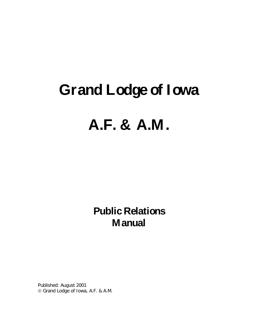# **Grand Lodge of Iowa**

# **A.F. & A.M.**

**Public Relations Manual**

Published: August 2001 Grand Lodge of Iowa, A.F. & A.M.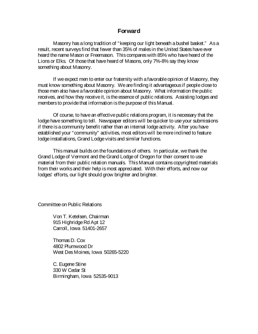## **Forward**

Masonry has a long tradition of "keeping our light beneath a bushel basket." As a result, recent surveys find that fewer than 35% of males in the United States have ever heard the name Mason or Freemason. This compares with 85% who have heard of the Lions or Elks. Of those that have heard of Masons, only 7%-8% say they know something about Masonry.

If we expect men to enter our fraternity with a favorable opinion of Masonry, they must know something about Masonry. We are finding it advantageous if people close to those men also have a favorable opinion about Masonry. What information the public receives, and how they receive it, is the essence of public relations. Assisting lodges and members to provide that information is the purpose of this Manual.

Of course, to have an effective public relations program, it is necessary that the lodge have something to tell. Newspaper editors will be quicker to use your submissions if there is a community benefit rather than an internal lodge activity. After you have established your "community" activities, most editors will be more inclined to feature lodge installations, Grand Lodge visits and similar functions.

This manual builds on the foundations of others. In particular, we thank the Grand Lodge of Vermont and the Grand Lodge of Oregon for their consent to use material from their public relation manuals. This Manual contains copyrighted materials from their works and their help is most appreciated. With their efforts, and now our lodges' efforts, our light should grow brighter and brighter.

Committee on Public Relations

Von T. Ketelsen, Chairman 915 Highridge Rd Apt 12 Carroll, Iowa 51401-2657

Thomas D. Cox 4802 Plumwood Dr West Des Moines, Iowa 50265-5220

C. Eugene Stine 330 W Cedar St Birmingham, Iowa 52535-9013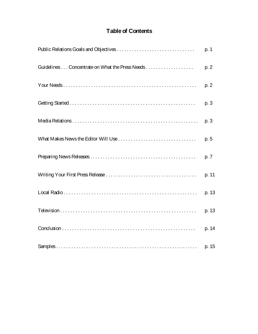# **Table of Contents**

|                                                | p. 1  |
|------------------------------------------------|-------|
| Guidelines Concentrate on What the Press Needs | p. 2  |
|                                                | p. 2  |
|                                                | p. 3  |
|                                                | p. 3  |
|                                                | p. 5  |
|                                                | p. 7  |
|                                                | p. 11 |
|                                                | p. 13 |
|                                                | p. 13 |
|                                                | p. 14 |
|                                                | p. 15 |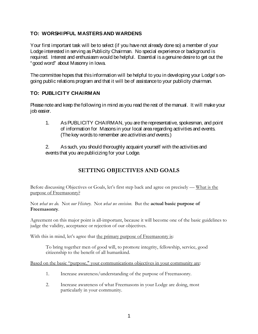## **TO: WORSHIPFUL MASTERS AND WARDENS**

Your first important task will be to select (if you have not already done so) a member of your Lodge interested in serving as Publicity Chairman. No special experience or background is required. Interest and enthusiasm would be helpful. Essential is a genuine desire to get out the "good word" about Masonry in Iowa.

The committee hopes that this information will be helpful to you in developing your Lodge's ongoing public relations program and that it will be of assistance to your publicity chairman.

## **TO: PUBLICITY CHAIRMAN**

Please note and keep the following in mind as you read the rest of the manual. It will make your job easier.

- 1. As PUBLICITY CHAIRMAN, you are the representative, spokesman, and point of information for Masons in your local area regarding activities and events. (The key words to remember are *activities and events.*)
- 2. As such, you should thoroughly acquaint yourself with the activities and events that you are publicizing for your Lodge.

## **SETTING OBJECTIVES AND GOALS**

Before discussing Objectives or Goals, let's first step back and agree on precisely — What is the purpose of Freemasonry?

Not *what we do.* Not *our History.* Not *what we envision.* But the **actual basic purpose of Freemasonry**.

Agreement on this major point is all-important, because it will become one of the basic guidelines to judge the validity, acceptance or rejection of our objectives.

With this in mind, let's agree that the primary purpose of Freemasonry is:

To bring together men of good will, to promote integrity, fellowship, service, good citizenship to the benefit of all humankind.

Based on the basic "purpose," your communications objectives in your community are:

- 1. Increase awareness/understanding of the purpose of Freemasonry.
- 2. Increase awareness of what Freemasons in your Lodge are doing, most particularly in your community.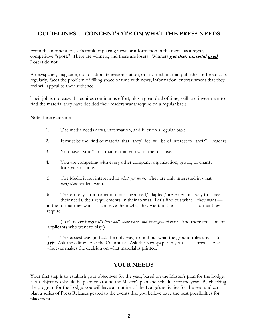## **GUIDELINES. . . CONCENTRATE ON WHAT THE PRESS NEEDS**

From this moment on, let's think of placing news or information in the media as a highly competitive "sport." There are winners, and there are losers. Winners get their material used*.*  Losers do not.

A newspaper, magazine, radio station, television station, or any medium that publishes or broadcasts regularly, faces the problem of filling space or time with news, information, entertainment that they feel will appeal to their audience.

Their job is not easy. It requires continuous effort, plus a great deal of time, skill and investment to find the material they have decided their readers want/require on a regular basis.

Note these guidelines:

- 1. The media needs news, information, and filler on a regular basis.
- 2. It must be the kind of material that "they" feel will be of interest to "their" readers.
- 3. You have "your" information that you want them to use.
- 4. You are competing with every other company, organization, group, or charity for space or time.
- 5*.* The Media is not interested in *what you want.* They are only interested in what *they/their* readers want**.**

6. Therefore, your information must be aimed/adapted/presented in a way to meet their needs, their requirements, in their format. Let's find out what they want in the format they want — and give them what they want, in the format they require.

(Let's never forget *it's their ball, their team, and their ground rules.* And there are lots of applicants who want to play.)

7. The easiest way (in fact, the only way) to find out what the ground rules are, is to **ask**. Ask the editor. Ask the Columnist. Ask the Newspaper in your area. Ask whoever makes the decision on what material is printed.

## **YOUR NEEDS**

Your first step is to establish your objectives for the year, based on the Master's plan for the Lodge. Your objectives should be planned around the Master's plan and schedule for the year. By checking the program for the Lodge, you will have an outline of the Lodge's activities for the year and can plan a series of Press Releases geared to the events that you believe have the best possibilities for placement.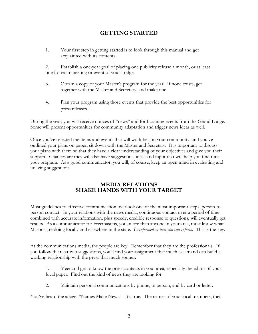## **GETTING STARTED**

1. Your first step in getting started is to look through this manual and get acquainted with its contents.

2. Establish a one-year goal of placing one publicity release a month, or at least one for each meeting or event of your Lodge.

- 3. Obtain a copy of your Master's program for the year. If none exists, get together with the Master and Secretary, and make one.
- 4. Plan your program using those events that provide the best opportunities for press releases.

During the year, you will receive notices of "news" and forthcoming events from the Grand Lodge. Some will present opportunities for community adaptation and trigger news ideas as well.

Once you've selected the items and events that will work best in your community, and you've outlined your plans on paper, sit down with the Master and Secretary. It is important to discuss your plans with them so that they have a clear understanding of your objectives and give you their support. Chances are they will also have suggestions, ideas and input that will help you fine-tune your program. As a good communicator, you will, of course, keep an open mind in evaluating and utilizing suggestions.

### **MEDIA RELATIONS SHAKE HANDS WITH YOUR TARGET**

Most guidelines to effective communication overlook one of the most important steps, person-toperson contact. In your relations with the news media, continuous contact over a period of time combined with accurate information, plus speedy, credible response to questions, will eventually get results. As a communicator for Freemasons, you, more than anyone in your area, must know what Masons are doing locally and elsewhere in the state. *Be informed so that you can inform.* This is the key.

At the communications media, the people are key. Remember that they are the professionals. If you follow the next two suggestions, you'll find your assignment that much easier and can build a working relationship with the press that much sooner:

1. Meet and get to know the press contacts in your area, especially the editor of your local paper. Find out the kind of news they are looking for.

2. Maintain personal communications by phone, in person, and by card or letter.

You've heard the adage, "Names Make News." It's true. The names of your local members, their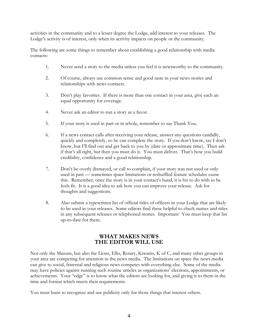activities in the community and to a lesser degree the Lodge, add interest to your releases. The Lodge's activity is of interest, only when its activity impacts on people or the community.

The following are some things to remember about establishing a good relationship with media contacts:

- 1. Never send a story to the media unless you feel it is newsworthy to the community.
- 2. Of course, always use common sense and good taste in your news stories and relationships with news contacts.
- 3. Don't play favorites. If there is more than one contact in your area, give each an equal opportunity for coverage.
- 4. Never ask an editor to run a story as a favor.
- 5. If your story is used in part or in whole, remember to say Thank You.
- 6. If a news contact calls after receiving your release, answer any questions candidly, quickly and completely, so he can complete the story. If you don't know, say I don't know, but I'll find out and get back to you by (date or approximate time). Then ask if that's all right, but then you must do it. You must deliver. That's how you build credibility, confidence and a good relationship.
- 7. Don't be overly dismayed, or call to complain, if your story was not used or only used in part — sometimes space limitations or reshuffled feature schedules cause this. Remember, once the story is in your contact's hand, it is his to do with as he feels fit. It is a good idea to ask how you can improve your release. Ask for thoughts and suggestions.
- 8. Also submit a typewritten list of official titles of officers in your Lodge that are likely to be used in your releases. Some editors find these helpful to check names and titles in any subsequent releases or telephoned stories. Important: You must keep that list up-to-date for them.

#### **WHAT MAKES NEWS THE EDITOR WILL USE**

Not only the Masons, but also the Lions, Elks, Rotary, Kiwanis, K of C, and many other groups in your area are competing for attention in the news media. The limitations on space the news media can give to social, fraternal and religious news competes with everything else. Some of the media may have policies against running such routine articles as organizations' elections, appointments, or achievements. Your "edge" is to know what the editors are looking for, and giving it to them in the time and format which meets their requirements.

You must learn to recognize and use publicity only for those things that interest others.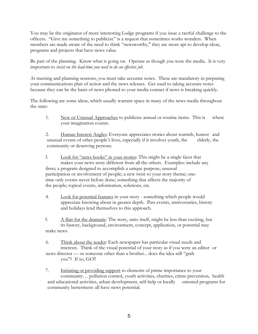You may be the originator of more interesting Lodge programs if you issue a tactful challenge to the officers. "Give me something to publicize" is a request that sometimes works wonders. When members are made aware of the need to think "newsworthy," they are more apt to develop ideas, programs and projects that have news value.

Be part of the planning. Know what is going on. Operate as though you were the media. It is very important to *insist on the lead-time you need to do an effective job.*

At meeting and planning sessions, you must take accurate notes. These are mandatory in preparing your communications plan of action and the news releases. Get used to taking accurate notes because they can be the basis of news phoned to your media contact if news is breaking quickly.

The following are some ideas, which usually warrant space in many of the news media throughout the state:

1. New or Unusual Approaches to publicize annual or routine items. This is where your imagination counts.

2. Human Interest Angles: Everyone appreciates stories about warmth, humor and unusual events of other people's lives, especially if it involves youth, the elderly, the community or deserving persons.

3. Look for "news hooks" in your stories: This might be a single facet that makes your news story different from all the others. Examples: include any firsts; a program designed to accomplish a unique purpose; unusual participation or involvement of people; a new twist to your story theme; onetime only events never before done; something that affects the majority of the people; topical events, information, solutions, etc.

4. Look for potential features in your story - something which people would appreciate knowing about in greater depth. Past events, anniversaries, history and holidays lend themselves to this approach.

5. A flair for the dramatic: The story, unto itself, might be less than exciting, but its history, background, environment, concept, application, or potential may make news.

6. Think about the reader: Each newspaper has particular visual needs and interests. Think of the visual potential of your story as if you were an editor or news director — or someone other than a brother... does the idea still "grab you"? If so, GO!!

7. Initiating or providing support to elements of prime importance to your community… pollution control, youth activities, charities, crime prevention, health and educational activities, urban development, self-help or locally oriented programs for community betterment: all have news potential.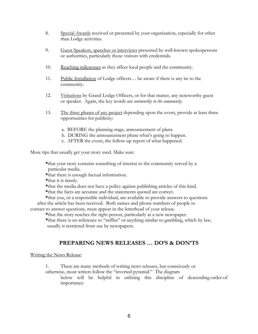- 8. Special Awards received or presented by your organization, especially for other than Lodge activities.
- 9. Guest Speakers, speeches or interviews presented by well-known spokespersons or authorities, particularly those visitors with credentials.
- 10. Reaching milestones as they affect local people and the community.
- 11. Public Installation of Lodge officers... be aware if there is any tie to the community.
- 12. Visitations by Grand Lodge Officers, or for that matter, any noteworthy guest or speaker. Again, the key words are *noteworthy to the community.*
- 13. The three phases of any project depending upon the event, provide at least three opportunities for publicity:
	- a. BEFORE the planning stage, announcement of plans.
	- b. DURING the announcement phase what's going to happen.
	- c. AFTER the event, the follow-up report of what happened.

More tips that usually get your story used. Make sure:

**\***that your story contains something of interest to the community served by a particular media.

- **\***that there is enough factual information.
- **\***that it is timely.
- **\***that the media does not have a policy against publishing articles of this kind.
- **\***that the facts are accurate and the statements quoted are correct.
- **\***that you, or a responsible individual, are available to provide answers to questions after the article has been received. Both names and phone numbers of people to contact to answer questions, must appear in the letterhead of your release.

**\***that the story reaches the right person, particularly at a new newspaper.

**\***that there is no reference to "raffles" or anything similar to gambling, which by law, usually is restricted from use by newspapers.

## **PREPARING NEWS RELEASES … DO'S & DON'TS**

Writing the News Release:

1. There are many methods of writing news releases, but consciously or

otherwise, most writers follow the "inverted pyramid." The diagram below will be helpful in utilizing this discipline of descending-order-of importance: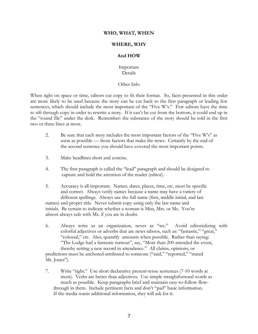#### **WHO, WHAT, WHEN**

#### **WHERE, WHY**

#### **And HOW**

Important Details

#### Other Info

When tight on space or time, editors cut copy to fit their format. So, facts presented in this order are more likely to be used because the story can be cut back to the first paragraph or leading few sentences, which should include the most important of the "Five W's." Few editors have the time to sift through copy in order to rewrite a story. If it can't be cut from the bottom, it could end up in the "round file" under the desk. Remember: the substance of the story should be told in the first two or three lines at most.

- 2. Be sure that each story includes the most important factors of the "Five W's" as soon as possible — those factors that make the news. Certainly by the end of the second sentence you should have covered the most important points.
- 3. Make headlines short and concise.
- 4. The first paragraph is called the "lead" paragraph and should be designed to capture and hold the attention of the reader (editor).
- 5. Accuracy is all-important. Names, dates, places, time, etc. must be specific and correct. Always verify names because a name may have a variety of different spellings. Always use the full name (first, middle initial, and last names) and proper title. Never submit copy using only the last name and initials. Be certain to indicate whether a woman is Miss, Mrs. or Ms. You're almost always safe with Ms. if you are in doubt.
- 6. Always write as an organization, never as "we." Avoid editorializing with colorful adjectives or adverbs that are news taboos, such as: "fantastic," "great," "colossal," etc. Also, quantify amounts when possible. Rather than saying: "The Lodge had a fantastic turnout", say, "More than 200 attended the event, thereby setting a new record in attendance." All claims, opinions, or predictions must be anchored-attributed to someone ("said," "reported," "stated Mr. Jones").
- 7. Write "tight." Use short declarative present-tense sentences (7-10 words at most). Verbs are better than adjectives. Use simple straightforward words as much as possible. Keep paragraphs brief and maintain easy-to-follow flowthrough in them. Include pertinent facts and don't "pad" basic information. If the media wants additional information, they will ask for it.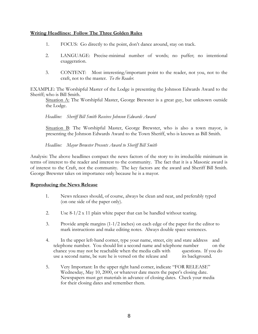#### **Writing Headlines: Follow The Three Golden Rules**

- 1. FOCUS: Go directly to the point, don't dance around, stay on track.
- 2. LANGUAGE: Precise-minimal number of words; no puffer; no intentional exaggeration.
- 3. CONTENT: Most interesting/important point to the reader, not you, not to the craft, not to the master. *To the Reader.*

EXAMPLE: The Worshipful Master of the Lodge is presenting the Johnson Edwards Award to the Sheriff; who is Bill Smith.

Situation A: The Worshipful Master, George Brewster is a great guy, but unknown outside the Lodge.

*Headline: Sheriff Bill Smith Receives Johnson Edwards Award*

Situation B: The Worshipful Master, George Brewster, who is also a town mayor, is presenting the Johnson Edwards Award to the Town Sheriff, who is known as Bill Smith.

*Headline: Mayor Brewster Presents Award to Sheriff Bill Smith*

Analysis: The above headlines compact the news factors of the story to its irreducible minimum in terms of interest to the reader and interest to the community. The fact that it is a Masonic award is of interest to the Craft, not the community. The key factors are the award and Sheriff Bill Smith. George Brewster takes on importance only because he is a mayor.

#### **Reproducing the News Release**

- 1. News releases should, of course, always be clean and neat, and preferably typed (on one side of the paper only).
- 2. Use 8-1/2 x 11 plain white paper that can be handled without tearing.
- 3. Provide ample margins (1-1/2 inches) on each edge of the paper for the editor to mark instructions and make editing notes. Always double space sentences.
- 4. In the upper left-hand corner, type your name, street, city and state address and telephone number. You should list a second name and telephone number on the chance you may not be reachable when the media calls with questions. If you do use a second name, be sure he is versed on the release and its background.
- 5. Very Important: In the upper right hand corner, indicate "FOR RELEASE" Wednesday, May 10, 2000, or whatever date meets the paper's closing date. Newspapers must get materials in advance of closing dates. Check your media for their closing dates and remember them.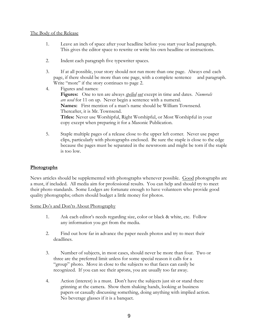#### The Body of the Release

- 1. Leave an inch of space after your headline before you start your lead paragraph. This gives the editor space to rewrite or write his own headline or instructions.
- 2. Indent each paragraph five typewriter spaces.
- 3. If at all possible, your story should not run more than one page. Always end each page, if there should be more than one page, with a complete sentence and paragraph. Write "more" if the story continues to page 2.
- 4. Figures and names: **Figures:** One to ten are always *spelled out* except in time and dates. *Numerals are used* for 11 on up. Never begin a sentence with a numeral. **Names:** First mention of a man's name should be William Townsend. Thereafter, it is Mr. Townsend. **Titles:** Never use Worshipful, Right Worshipful, or Most Worshipful in your copy except when preparing it for a Masonic Publication.
- 5. Staple multiple pages of a release close to the upper left corner. Never use paper clips, particularly with photographs enclosed. Be sure the staple is close to the edge because the pages must be separated in the newsroom and might be torn if the staple is too low.

#### **Photographs**

News articles should be supplemented with photographs whenever possible. Good photographs are a must, if included. All media aim for professional results. You can help and should try to meet their photo standards. Some Lodges are fortunate enough to have volunteers who provide good quality photographs; others should budget a little money for photos.

#### Some Do's and Don'ts About Photography

- 1. Ask each editor's needs regarding size, color or black & white, etc. Follow any information you get from the media.
- 2. Find out how far in advance the paper needs photos and try to meet their deadlines.
- 3. Number of subjects, in most cases, should never be more than four. Two or three are the preferred limit unless for some special reason it calls for a "group" photo. Move in close to the subjects so that faces can easily be recognized. If you can see their aprons, you are usually too far away.
- 4. Action (interest) is a must. Don't have the subjects just sit or stand there grinning at the camera. Show them shaking hands, looking at business papers or casually discussing something, doing anything with implied action. No beverage glasses if it is a banquet.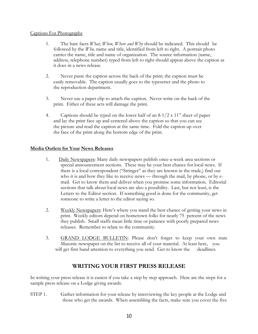#### Captions For Photographs

- 1. The bare facts *What*, *When, Where and Why* should be indicated. This should be followed by the *Who,* name and title, identified from left to right. A portrait photo carries the name, title and name of organization. The source information (name, address, telephone number) typed from left to right should appear above the caption as it does in a news release.
- 2. Never paste the caption across the back of the print; the caption must be easily removable. The caption usually goes to the typesetter and the photo to the reproduction department.
- 3. Never use a paper clip to attach the caption. Never write on the back of the print. Either of these acts will damage the print.
- 4. Captions should be typed on the lower half of an  $8-1/2 \times 11$ " sheet of paper and lay the print face up and centered above the caption so that you can see the picture and read the caption at the same time. Fold the caption up over the face of the print along the bottom edge of the print.

#### **Media Outlets for Your News Releases**

- 1. Daily Newspapers: Many daily newspapers publish once-a-week area sections or special announcement sections. These may be your best chance for local news. If there is a local correspondent ("Stringer" as they are known in the trade,) find out who it is and how they like to receive news — through the mail, by phone, or by email. Get to know them and deliver when you promise some information. Editorial sections that talk about local news are also a possibility. Last, but not least, is the Letters to the Editor section. If something good is done for the community, get someone to write a letter to the editor saying so.
- 2. Weekly Newspapers: Here's where you stand the best chance of getting your news in print. Weekly editors depend on hometown folks for nearly 75 percent of the news they publish. Small staffs mean little time or patience with poorly prepared news releases. Remember to relate to the community.
- 3. GRAND LODGE BULLETIN: Please don't forget to keep your own state Masonic newspaper on the list to receive all of your material. At least here, you will get first hand attention to everything you send. Get to know the deadlines.

## **WRITING YOUR FIRST PRESS RELEASE**

In writing your press release it is easiest if you take a step by step approach. Here are the steps for a sample press release on a Lodge giving awards.

STEP 1. Gather information for your release by interviewing the key people at the Lodge and those who get the awards. When assembling the facts, make sure you cover the five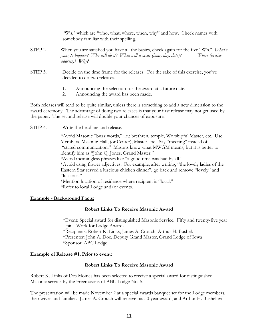"W's," which are "who, what, where, when, why" and how. Check names with somebody familiar with their spelling.

- STEP 2. When you are satisfied you have all the basics, check again for the five "W's." *What's going to happen? Who will do it? When will it occur (hour, day, date)? Where (precise address)? Why?*
- STEP 3. Decide on the time frame for the releases. For the sake of this exercise, you've decided to do two releases.
	- 1. Announcing the selection for the award at a future date.
	- 2. Announcing the award has been made.

Both releases will tend to be quite similar, unless there is something to add a new dimension to the award ceremony. The advantage of doing two releases is that your first release may not get used by the paper. The second release will double your chances of exposure.

STEP 4. Write the headline and release.

\*Avoid Masonic "buzz words," i.e.: brethren, temple, Worshipful Master, etc. Use Members, Masonic Hall, (or Center), Master, etc. Say "meeting" instead of "stated communication." Masons know what MWGM means, but it is better to identify him as "John Q. Jones, Grand Master."

\*Avoid meaningless phrases like "a good time was had by all."

\*Avoid using flower adjectives. For example, after writing, "the lovely ladies of the Eastern Star served a luscious chicken dinner", go back and remove "lovely" and "luscious."

\*Mention location of residence where recipient is "local." \*Refer to local Lodge and/or events.

#### **Example - Background Facts:**

#### **Robert Links To Receive Masonic Award**

\*Event: Special award for distinguished Masonic Service. Fifty and twenty-five year pin. Work for Lodge Awards \*Recipients: Robert K. Links, James A. Crouch, Arthur H. Bushel. \*Presenter: John A. Doe, Deputy Grand Master, Grand Lodge of Iowa \*Sponsor: ABC Lodge

#### **Example of Release #1, Prior to event:**

#### **Robert Links To Receive Masonic Award**

Robert K. Links of Des Moines has been selected to receive a special award for distinguished Masonic service by the Freemasons of ABC Lodge No. 5.

The presentation will be made November 2 at a special awards banquet set for the Lodge members, their wives and families. James A. Crouch will receive his 50-year award, and Arthur H. Bushel will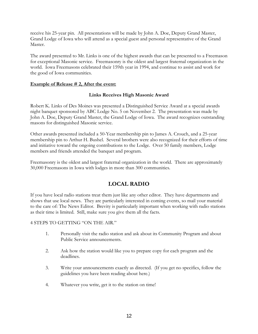receive his 25-year pin. All presentations will be made by John A. Doe, Deputy Grand Master, Grand Lodge of Iowa who will attend as a special guest and personal representative of the Grand Master.

The award presented to Mr. Links is one of the highest awards that can be presented to a Freemason for exceptional Masonic service. Freemasonry is the oldest and largest fraternal organization in the world. Iowa Freemasons celebrated their 159th year in 1994, and continue to assist and work for the good of Iowa communities.

#### **Example of Release # 2, After the event:**

#### **Links Receives High Masonic Award**

Robert K. Links of Des Moines was presented a Distinguished Service Award at a special awards night banquet sponsored by ABC Lodge No. 5 on November 2. The presentation was made by John A. Doe, Deputy Grand Master, the Grand Lodge of Iowa. The award recognizes outstanding masons for distinguished Masonic service.

Other awards presented included a 50-Year membership pin to James A. Crouch, and a 25-year membership pin to Arthur H. Bushel. Several brothers were also recognized for their efforts of time and initiative toward the ongoing contributions to the Lodge. Over 50 family members, Lodge members and friends attended the banquet and program.

Freemasonry is the oldest and largest fraternal organization in the world. There are approximately 30,000 Freemasons in Iowa with lodges in more than 300 communities.

## **LOCAL RADIO**

If you have local radio stations treat them just like any other editor. They have departments and shows that use local news. They are particularly interested in coming events, so mail your material to the care of: The News Editor. Brevity is particularly important when working with radio stations as their time is limited. Still, make sure you give them all the facts.

#### 4 STEPS TO GETTING "ON THE AIR."

- 1. Personally visit the radio station and ask about its Community Program and about Public Service announcements.
- 2. Ask how the station would like you to prepare copy for each program and the deadlines.
- 3. Write your announcements exactly as directed. (If you get no specifics, follow the guidelines you have been reading about here.)
- 4. Whatever you write, get it to the station on time!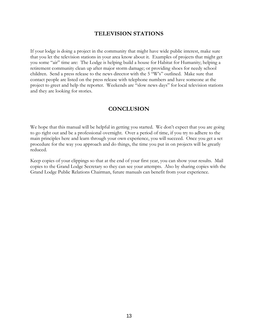## **TELEVISION STATIONS**

If your lodge is doing a project in the community that might have wide public interest, make sure that you let the television stations in your area know about it. Examples of projects that might get you some "air" time are: The Lodge is helping build a house for Habitat for Humanity; helping a retirement community clean up after major storm damage; or providing shoes for needy school children. Send a press release to the news director with the 5 "W's" outlined. Make sure that contact people are listed on the press release with telephone numbers and have someone at the project to greet and help the reporter. Weekends are "slow news days" for local television stations and they are looking for stories.

### **CONCLUSION**

We hope that this manual will be helpful in getting you started. We don't expect that you are going to go right out and be a professional overnight. Over a period of time, if you try to adhere to the main principles here and learn through your own experience, you will succeed. Once you get a set procedure for the way you approach and do things, the time you put in on projects will be greatly reduced.

Keep copies of your clippings so that at the end of your first year, you can show your results. Mail copies to the Grand Lodge Secretary so they can see your attempts. Also by sharing copies with the Grand Lodge Public Relations Chairman, future manuals can benefit from your experience.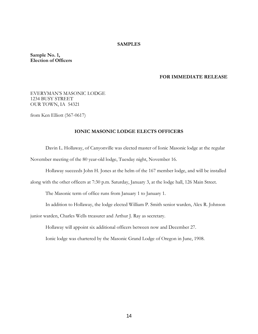#### **SAMPLES**

**Sample No. 1, Election of Officers**

#### **FOR IMMEDIATE RELEASE**

#### EVERYMAN'S MASONIC LODGE 1234 BUSY STREET OUR TOWN, IA 54321

from Ken Elliott (567-0617)

#### **IONIC MASONIC LODGE ELECTS OFFICERS**

Davin L. Hollaway, of Canyonville was elected master of Ionic Masonic lodge at the regular November meeting of the 80 year-old lodge, Tuesday night, November 16.

Hollaway succeeds John H. Jones at the helm of the 167 member lodge, and will be installed

along with the other officers at 7:30 p.m. Saturday, January 3, at the lodge hall, 126 Main Street.

The Masonic term of office runs from January 1 to January 1.

In addition to Hollaway, the lodge elected William P. Smith senior warden, Alex R. Johnson

junior warden, Charles Wells treasurer and Arthur J. Ray as secretary.

Hollaway will appoint six additional officers between now and December 27.

Ionic lodge was chartered by the Masonic Grand Lodge of Oregon in June, 1908.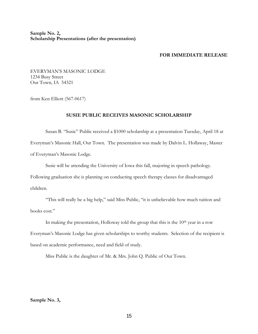**Sample No. 2, Scholarship Presentations (after the presentation)**

#### **FOR IMMEDIATE RELEASE**

EVERYMAN'S MASONIC LODGE 1234 Busy Street Our Town, IA 54321

from Ken Elliott (567-0617)

#### **SUSIE PUBLIC RECEIVES MASONIC SCHOLARSHIP**

Susan B. "Susie" Public received a \$1000 scholarship at a presentation Tuesday, April 18 at Everyman's Masonic Hall, Our Town. The presentation was made by Dalvin L. Hollaway, Master of Everyman's Masonic Lodge.

Susie will be attending the University of Iowa this fall, majoring in speech pathology. Following graduation she is planning on conducting speech therapy classes for disadvantaged

children.

"This will really be a big help," said Miss Public, "it is unbelievable how much tuition and books cost."

In making the presentation, Holloway told the group that this is the  $10<sup>th</sup>$  year in a row Everyman's Masonic Lodge has given scholarships to worthy students. Selection of the recipient is based on academic performance, need and field of study.

Miss Public is the daughter of Mr. & Mrs. John Q. Public of Our Town.

**Sample No. 3,**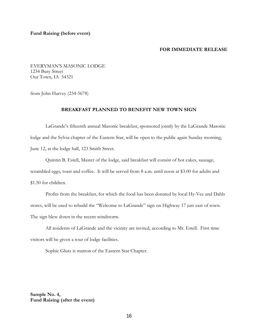EVERYMAN'S MASONIC LODGE 1234 Busy Street Our Town, IA 54321

from John Harvey (234-5678)

#### **BREAKFAST PLANNED TO BENEFIT NEW TOWN SIGN**

LaGrande's fifteenth annual Masonic breakfast, sponsored jointly by the LaGrande Masonic lodge and the Sylvia chapter of the Eastern Star, will be open to the public again Sunday morning, June 12, at the lodge hall, 123 Smith Street.

Quintin B. Estell, Master of the lodge, said breakfast will consist of hot cakes, sausage, scrambled eggs, toast and coffee. It will be served from 8 a.m. until noon at \$3.00 for adults and \$1.50 for children.

Profits from the breakfast, for which the food has been donated by local Hy-Vee and Dahls stores, will be used to rebuild the "Welcome to LaGrande" sign on Highway 17 just east of town. The sign blew down in the recent windstorm.

All residents of LaGrande and the vicinity are invited, according to Mr. Estell. First time visitors will be given a tour of lodge facilities.

Sophie Glutz is matron of the Eastern Star Chapter.

**Sample No. 4, Fund Raising (after the event)**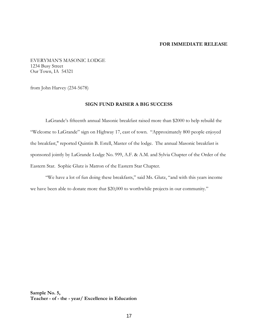EVERYMAN'S MASONIC LODGE 1234 Busy Street Our Town, IA 54321

from John Harvey (234-5678)

#### **SIGN FUND RAISER A BIG SUCCESS**

LaGrande's fifteenth annual Masonic breakfast raised more than \$2000 to help rebuild the "Welcome to LaGrande" sign on Highway 17, east of town. "Approximately 800 people enjoyed the breakfast," reported Quintin B. Estell, Master of the lodge. The annual Masonic breakfast is sponsored jointly by LaGrande Lodge No. 999, A.F. & A.M. and Sylvia Chapter of the Order of the Eastern Star. Sophie Glutz is Matron of the Eastern Star Chapter.

"We have a lot of fun doing these breakfasts," said Ms. Glutz, "and with this years income we have been able to donate more that \$20,000 to worthwhile projects in our community."

**Sample No. 5, Teacher - of - the - year/ Excellence in Education**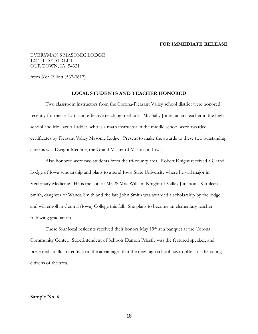EVERYMAN'S MASONIC LODGE 1234 BUSY STREET OUR TOWN, IA 54321

from Ken Elliott (567-0617)

#### **LOCAL STUDENTS AND TEACHER HONORED**

Two classroom instructors from the Corona-Pleasant Valley school district were honored recently for their efforts and effective teaching methods. Ms. Sally Jones, an art teacher in the high school and Mr. Jacob Ladder, who is a math instructor in the middle school were awarded certificates by Pleasant Valley Masonic Lodge. Present to make the awards to these two outstanding citizens was Dwight Medline, the Grand Master of Masons in Iowa.

Also honored were two students from the tri-county area. Robert Knight received a Grand Lodge of Iowa scholarship and plans to attend Iowa State University where he will major in Veterinary Medicine. He is the son of Mr. & Mrs. William Knight of Valley Junction. Kathleen Smith, daughter of Wanda Smith and the late John Smith was awarded a scholarship by the lodge, and will enroll in Central (Iowa) College this fall. She plans to become an elementary teacher following graduation.

These four local residents received their honors May 19th at a banquet at the Corona Community Center. Superintendent of Schools Damon Priestly was the featured speaker, and presented an illustrated talk on the advantages that the new high school has to offer for the young citizens of the area.

#### **Sample No. 6,**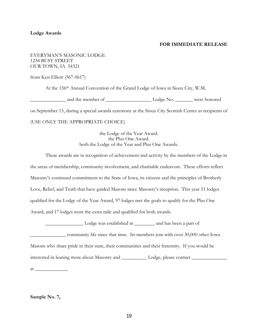#### **Lodge Awards**

#### **FOR IMMEDIATE RELEASE**

EVERYMAN'S MASONIC LODGE 1234 BUSY STREET OUR TOWN, IA 54321

from Ken Elliott (567-0617)

At the 156th Annual Convention of the Grand Lodge of Iowa in Sioux City, W.M.

\_\_\_\_\_\_\_\_\_\_\_\_\_\_ and the member of \_\_\_\_\_\_\_\_\_\_\_\_\_\_\_\_\_\_ Lodge No. \_\_\_\_\_\_\_ were honored

on September 15, during a special awards ceremony at the Sioux City Scottish Center as recipients of

#### (USE ONLY THE APPROPRIATE CHOICE)

the Lodge of the Year Award. the Plus One Award. both the Lodge of the Year and Plus One Awards.

These awards are in recognition of achievement and activity by the members of the Lodge in the areas of membership, community involvement, and charitable endeavors. These efforts reflect Masonry's continued commitment to the State of Iowa, its citizens and the principles of Brotherly Love, Relief, and Truth that have guided Masons since Masonry's inception. This year 51 lodges qualified for the Lodge of the Year Award, 97 lodges met the goals to qualify for the Plus One Award, and 17 lodges went the extra mile and qualified for both awards.

\_\_\_\_\_\_\_\_\_\_\_\_\_\_\_ Lodge was established in \_\_\_\_\_\_\_\_ and has been a part of

\_\_\_\_\_\_\_\_\_\_\_\_\_\_ community life since that time. Its members join with over 30,000 other Iowa

Masons who share pride in their state, their communities and their fraternity. If you would be

interested in leaning more about Masonry and \_\_\_\_\_\_\_\_\_\_ Lodge, please contact \_\_\_\_\_\_\_\_\_\_\_\_\_\_

 $at \_\_$ 

#### **Sample No. 7,**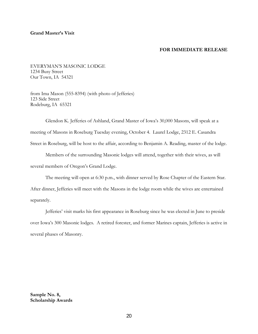#### **Grand Master's Visit**

#### **FOR IMMEDIATE RELEASE**

EVERYMAN'S MASONIC LODGE 1234 Busy Street Our Town, IA 54321

from Ima Mason (555-8394) (with photo of Jefferies) 123 Side Street Rodeburg, IA 65321

Glendon K. Jefferies of Ashland, Grand Master of Iowa's 30,000 Masons, will speak at a meeting of Masons in Roseburg Tuesday evening, October 4. Laurel Lodge, 2312 E. Casandra Street in Roseburg, will be host to the affair, according to Benjamin A. Reading, master of the lodge.

Members of the surrounding Masonic lodges will attend, together with their wives, as will several members of Oregon's Grand Lodge.

The meeting will open at 6:30 p.m., with dinner served by Rose Chapter of the Eastern Star. After dinner, Jefferies will meet with the Masons in the lodge room while the wives are entertained separately.

Jefferies' visit marks his first appearance in Roseburg since he was elected in June to preside over Iowa's 300 Masonic lodges. A retired forester, and former Marines captain, Jefferies is active in several phases of Masonry.

**Sample No. 8, Scholarship Awards**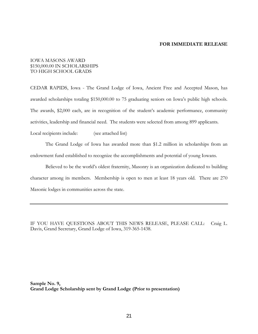#### IOWA MASONS AWARD \$150,000.00 IN SCHOLARSHIPS TO HIGH SCHOOL GRADS

CEDAR RAPIDS, Iowa - The Grand Lodge of Iowa, Ancient Free and Accepted Mason, has awarded scholarships totaling \$150,000.00 to 75 graduating seniors on Iowa's public high schools. The awards, \$2,000 each, are in recognition of the student's academic performance, community activities, leadership and financial need. The students were selected from among 899 applicants.

Local recipients include: (see attached list)

The Grand Lodge of Iowa has awarded more than \$1.2 million in scholarships from an endowment fund established to recognize the accomplishments and potential of young Iowans.

Believed to be the world's oldest fraternity, Masonry is an organization dedicated to building character among its members. Membership is open to men at least 18 years old. There are 270 Masonic lodges in communities across the state.

IF YOU HAVE QUESTIONS ABOUT THIS NEWS RELEASE, PLEASE CALL: Craig L. Davis, Grand Secretary, Grand Lodge of Iowa, 319-365-1438.

**Sample No. 9, Grand Lodge Scholarship sent by Grand Lodge (Prior to presentation)**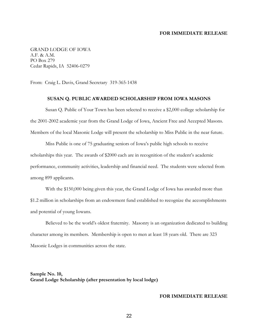GRAND LODGE OF IOWA A.F. & A.M. PO Box 279 Cedar Rapids, IA 52406-0279

From: Craig L. Davis, Grand Secretary 319-365-1438

#### **SUSAN Q. PUBLIC AWARDED SCHOLARSHIP FROM IOWA MASONS**

Susan Q. Public of Your Town has been selected to receive a \$2,000 college scholarship for the 2001-2002 academic year from the Grand Lodge of Iowa, Ancient Free and Accepted Masons. Members of the local Masonic Lodge will present the scholarship to Miss Public in the near future.

Miss Public is one of 75 graduating seniors of Iowa's public high schools to receive scholarships this year. The awards of \$2000 each are in recognition of the student's academic performance, community activities, leadership and financial need. The students were selected from among 899 applicants.

With the \$150,000 being given this year, the Grand Lodge of Iowa has awarded more than \$1.2 million in scholarships from an endowment fund established to recognize the accomplishments and potential of young Iowans.

Believed to be the world's oldest fraternity. Masonry is an organization dedicated to building character among its members. Membership is open to men at least 18 years old. There are 323 Masonic Lodges in communities across the state.

**Sample No. 10, Grand Lodge Scholarship (after presentation by local lodge)**

#### **FOR IMMEDIATE RELEASE**